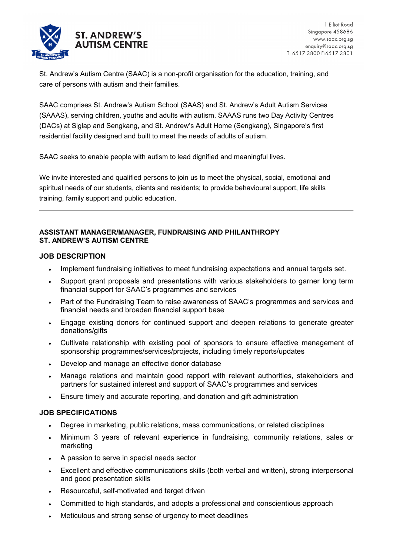

St. Andrew's Autism Centre (SAAC) is a non-profit organisation for the education, training, and care of persons with autism and their families.

SAAC comprises St. Andrew's Autism School (SAAS) and St. Andrew's Adult Autism Services (SAAAS), serving children, youths and adults with autism. SAAAS runs two Day Activity Centres (DACs) at Siglap and Sengkang, and St. Andrew's Adult Home (Sengkang), Singapore's first residential facility designed and built to meet the needs of adults of autism.

SAAC seeks to enable people with autism to lead dignified and meaningful lives.

We invite interested and qualified persons to join us to meet the physical, social, emotional and spiritual needs of our students, clients and residents; to provide behavioural support, life skills training, family support and public education.

## **ASSISTANT MANAGER/MANAGER, FUNDRAISING AND PHILANTHROPY ST. ANDREW'S AUTISM CENTRE**

## **JOB DESCRIPTION**

- Implement fundraising initiatives to meet fundraising expectations and annual targets set.
- Support grant proposals and presentations with various stakeholders to garner long term financial support for SAAC's programmes and services
- Part of the Fundraising Team to raise awareness of SAAC's programmes and services and financial needs and broaden financial support base
- Engage existing donors for continued support and deepen relations to generate greater donations/gifts
- Cultivate relationship with existing pool of sponsors to ensure effective management of sponsorship programmes/services/projects, including timely reports/updates
- Develop and manage an effective donor database
- Manage relations and maintain good rapport with relevant authorities, stakeholders and partners for sustained interest and support of SAAC's programmes and services
- Ensure timely and accurate reporting, and donation and gift administration

## **JOB SPECIFICATIONS**

- Degree in marketing, public relations, mass communications, or related disciplines
- Minimum 3 years of relevant experience in fundraising, community relations, sales or marketing
- A passion to serve in special needs sector
- Excellent and effective communications skills (both verbal and written), strong interpersonal and good presentation skills
- Resourceful, self-motivated and target driven
- Committed to high standards, and adopts a professional and conscientious approach
- Meticulous and strong sense of urgency to meet deadlines